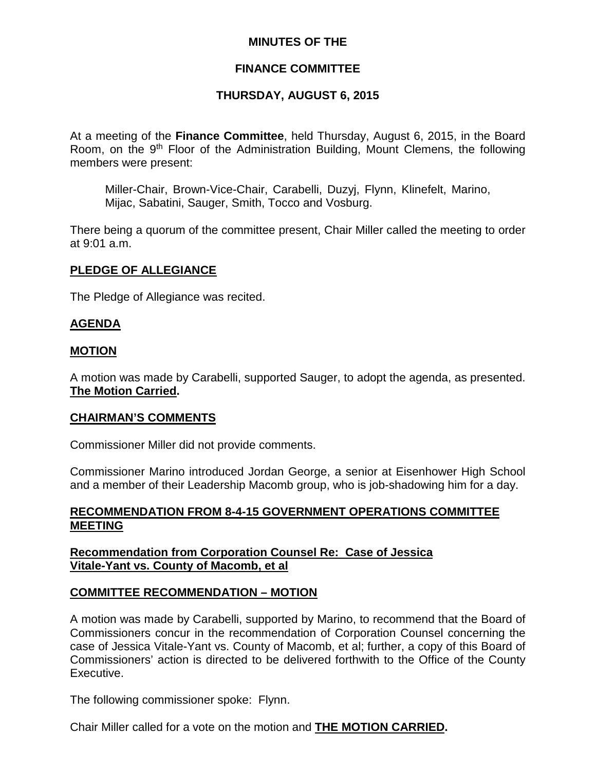#### **MINUTES OF THE**

## **FINANCE COMMITTEE**

## **THURSDAY, AUGUST 6, 2015**

At a meeting of the **Finance Committee**, held Thursday, August 6, 2015, in the Board Room, on the 9<sup>th</sup> Floor of the Administration Building, Mount Clemens, the following members were present:

Miller-Chair, Brown-Vice-Chair, Carabelli, Duzyj, Flynn, Klinefelt, Marino, Mijac, Sabatini, Sauger, Smith, Tocco and Vosburg.

There being a quorum of the committee present, Chair Miller called the meeting to order at 9:01 a.m.

#### **PLEDGE OF ALLEGIANCE**

The Pledge of Allegiance was recited.

#### **AGENDA**

#### **MOTION**

A motion was made by Carabelli, supported Sauger, to adopt the agenda, as presented. **The Motion Carried.**

#### **CHAIRMAN'S COMMENTS**

Commissioner Miller did not provide comments.

Commissioner Marino introduced Jordan George, a senior at Eisenhower High School and a member of their Leadership Macomb group, who is job-shadowing him for a day.

#### **RECOMMENDATION FROM 8-4-15 GOVERNMENT OPERATIONS COMMITTEE MEETING**

**Recommendation from Corporation Counsel Re: Case of Jessica Vitale-Yant vs. County of Macomb, et al**

#### **COMMITTEE RECOMMENDATION – MOTION**

A motion was made by Carabelli, supported by Marino, to recommend that the Board of Commissioners concur in the recommendation of Corporation Counsel concerning the case of Jessica Vitale-Yant vs. County of Macomb, et al; further, a copy of this Board of Commissioners' action is directed to be delivered forthwith to the Office of the County Executive.

The following commissioner spoke: Flynn.

Chair Miller called for a vote on the motion and **THE MOTION CARRIED.**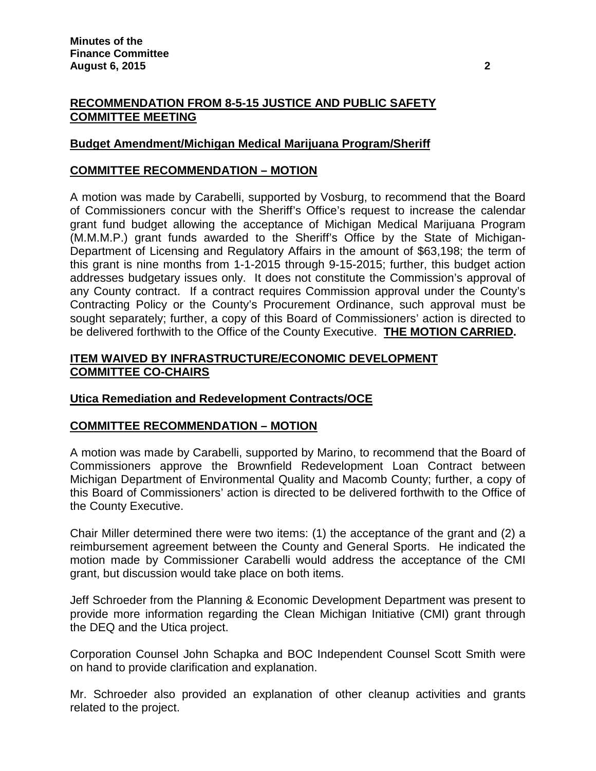# **RECOMMENDATION FROM 8-5-15 JUSTICE AND PUBLIC SAFETY COMMITTEE MEETING**

# **Budget Amendment/Michigan Medical Marijuana Program/Sheriff**

## **COMMITTEE RECOMMENDATION – MOTION**

A motion was made by Carabelli, supported by Vosburg, to recommend that the Board of Commissioners concur with the Sheriff's Office's request to increase the calendar grant fund budget allowing the acceptance of Michigan Medical Marijuana Program (M.M.M.P.) grant funds awarded to the Sheriff's Office by the State of Michigan-Department of Licensing and Regulatory Affairs in the amount of \$63,198; the term of this grant is nine months from 1-1-2015 through 9-15-2015; further, this budget action addresses budgetary issues only. It does not constitute the Commission's approval of any County contract. If a contract requires Commission approval under the County's Contracting Policy or the County's Procurement Ordinance, such approval must be sought separately; further, a copy of this Board of Commissioners' action is directed to be delivered forthwith to the Office of the County Executive. **THE MOTION CARRIED.**

#### **ITEM WAIVED BY INFRASTRUCTURE/ECONOMIC DEVELOPMENT COMMITTEE CO-CHAIRS**

## **Utica Remediation and Redevelopment Contracts/OCE**

## **COMMITTEE RECOMMENDATION – MOTION**

A motion was made by Carabelli, supported by Marino, to recommend that the Board of Commissioners approve the Brownfield Redevelopment Loan Contract between Michigan Department of Environmental Quality and Macomb County; further, a copy of this Board of Commissioners' action is directed to be delivered forthwith to the Office of the County Executive.

Chair Miller determined there were two items: (1) the acceptance of the grant and (2) a reimbursement agreement between the County and General Sports. He indicated the motion made by Commissioner Carabelli would address the acceptance of the CMI grant, but discussion would take place on both items.

Jeff Schroeder from the Planning & Economic Development Department was present to provide more information regarding the Clean Michigan Initiative (CMI) grant through the DEQ and the Utica project.

Corporation Counsel John Schapka and BOC Independent Counsel Scott Smith were on hand to provide clarification and explanation.

Mr. Schroeder also provided an explanation of other cleanup activities and grants related to the project.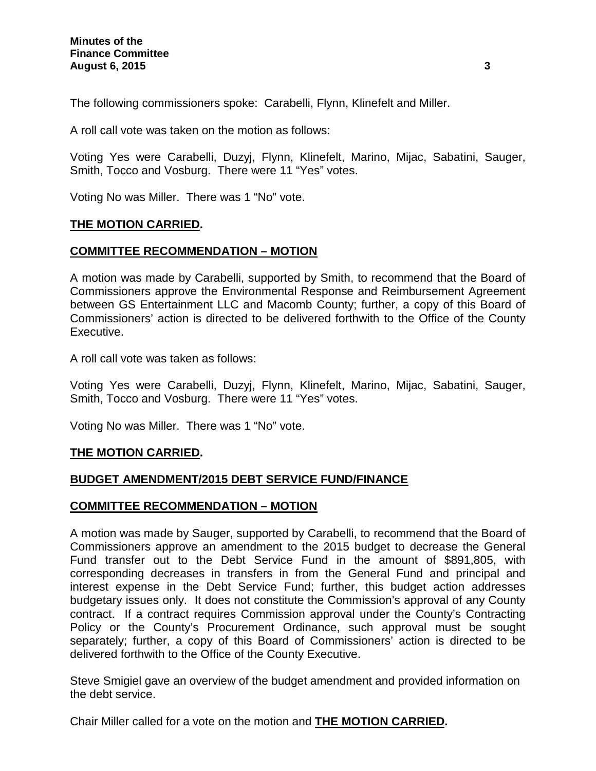The following commissioners spoke: Carabelli, Flynn, Klinefelt and Miller.

A roll call vote was taken on the motion as follows:

Voting Yes were Carabelli, Duzyj, Flynn, Klinefelt, Marino, Mijac, Sabatini, Sauger, Smith, Tocco and Vosburg. There were 11 "Yes" votes.

Voting No was Miller. There was 1 "No" vote.

## **THE MOTION CARRIED.**

## **COMMITTEE RECOMMENDATION – MOTION**

A motion was made by Carabelli, supported by Smith, to recommend that the Board of Commissioners approve the Environmental Response and Reimbursement Agreement between GS Entertainment LLC and Macomb County; further, a copy of this Board of Commissioners' action is directed to be delivered forthwith to the Office of the County Executive.

A roll call vote was taken as follows:

Voting Yes were Carabelli, Duzyj, Flynn, Klinefelt, Marino, Mijac, Sabatini, Sauger, Smith, Tocco and Vosburg. There were 11 "Yes" votes.

Voting No was Miller. There was 1 "No" vote.

## **THE MOTION CARRIED.**

## **BUDGET AMENDMENT/2015 DEBT SERVICE FUND/FINANCE**

## **COMMITTEE RECOMMENDATION – MOTION**

A motion was made by Sauger, supported by Carabelli, to recommend that the Board of Commissioners approve an amendment to the 2015 budget to decrease the General Fund transfer out to the Debt Service Fund in the amount of \$891,805, with corresponding decreases in transfers in from the General Fund and principal and interest expense in the Debt Service Fund; further, this budget action addresses budgetary issues only. It does not constitute the Commission's approval of any County contract. If a contract requires Commission approval under the County's Contracting Policy or the County's Procurement Ordinance, such approval must be sought separately; further, a copy of this Board of Commissioners' action is directed to be delivered forthwith to the Office of the County Executive.

Steve Smigiel gave an overview of the budget amendment and provided information on the debt service.

Chair Miller called for a vote on the motion and **THE MOTION CARRIED.**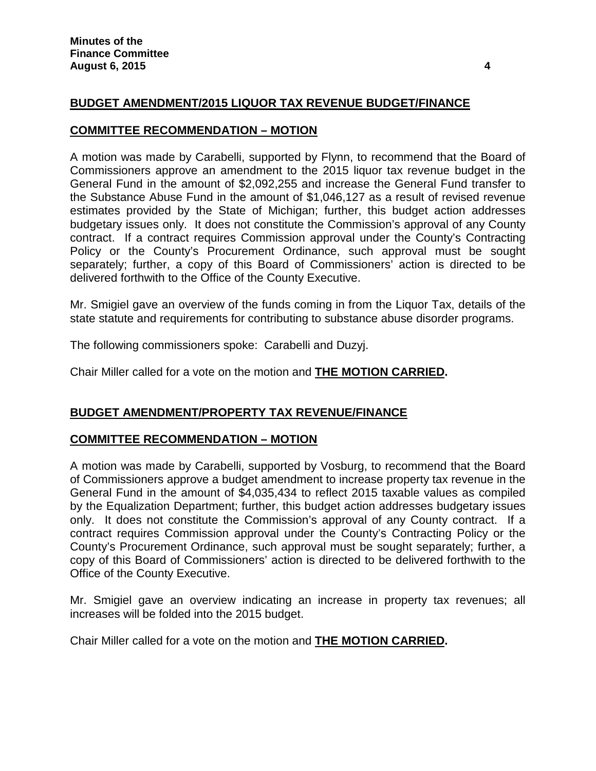# **BUDGET AMENDMENT/2015 LIQUOR TAX REVENUE BUDGET/FINANCE**

#### **COMMITTEE RECOMMENDATION – MOTION**

A motion was made by Carabelli, supported by Flynn, to recommend that the Board of Commissioners approve an amendment to the 2015 liquor tax revenue budget in the General Fund in the amount of \$2,092,255 and increase the General Fund transfer to the Substance Abuse Fund in the amount of \$1,046,127 as a result of revised revenue estimates provided by the State of Michigan; further, this budget action addresses budgetary issues only. It does not constitute the Commission's approval of any County contract. If a contract requires Commission approval under the County's Contracting Policy or the County's Procurement Ordinance, such approval must be sought separately; further, a copy of this Board of Commissioners' action is directed to be delivered forthwith to the Office of the County Executive.

Mr. Smigiel gave an overview of the funds coming in from the Liquor Tax, details of the state statute and requirements for contributing to substance abuse disorder programs.

The following commissioners spoke: Carabelli and Duzyj.

Chair Miller called for a vote on the motion and **THE MOTION CARRIED.**

## **BUDGET AMENDMENT/PROPERTY TAX REVENUE/FINANCE**

## **COMMITTEE RECOMMENDATION – MOTION**

A motion was made by Carabelli, supported by Vosburg, to recommend that the Board of Commissioners approve a budget amendment to increase property tax revenue in the General Fund in the amount of \$4,035,434 to reflect 2015 taxable values as compiled by the Equalization Department; further, this budget action addresses budgetary issues only. It does not constitute the Commission's approval of any County contract. If a contract requires Commission approval under the County's Contracting Policy or the County's Procurement Ordinance, such approval must be sought separately; further, a copy of this Board of Commissioners' action is directed to be delivered forthwith to the Office of the County Executive.

Mr. Smigiel gave an overview indicating an increase in property tax revenues; all increases will be folded into the 2015 budget.

Chair Miller called for a vote on the motion and **THE MOTION CARRIED.**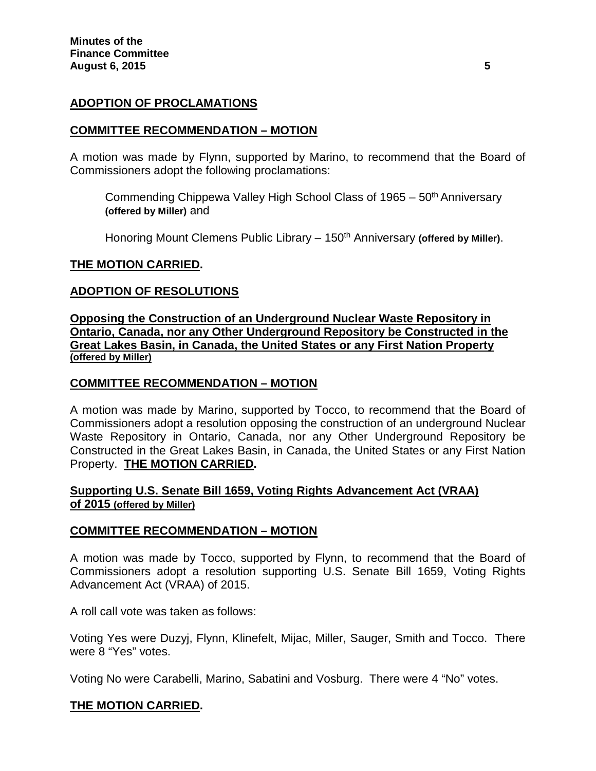## **ADOPTION OF PROCLAMATIONS**

#### **COMMITTEE RECOMMENDATION – MOTION**

A motion was made by Flynn, supported by Marino, to recommend that the Board of Commissioners adopt the following proclamations:

Commending Chippewa Valley High School Class of  $1965 - 50<sup>th</sup>$  Anniversary **(offered by Miller)** and

Honoring Mount Clemens Public Library – 150<sup>th</sup> Anniversary (offered by Miller).

#### **THE MOTION CARRIED.**

#### **ADOPTION OF RESOLUTIONS**

**Opposing the Construction of an Underground Nuclear Waste Repository in Ontario, Canada, nor any Other Underground Repository be Constructed in the Great Lakes Basin, in Canada, the United States or any First Nation Property (offered by Miller)**

#### **COMMITTEE RECOMMENDATION – MOTION**

A motion was made by Marino, supported by Tocco, to recommend that the Board of Commissioners adopt a resolution opposing the construction of an underground Nuclear Waste Repository in Ontario, Canada, nor any Other Underground Repository be Constructed in the Great Lakes Basin, in Canada, the United States or any First Nation Property. **THE MOTION CARRIED.**

# **Supporting U.S. Senate Bill 1659, Voting Rights Advancement Act (VRAA) of 2015 (offered by Miller)**

#### **COMMITTEE RECOMMENDATION – MOTION**

A motion was made by Tocco, supported by Flynn, to recommend that the Board of Commissioners adopt a resolution supporting U.S. Senate Bill 1659, Voting Rights Advancement Act (VRAA) of 2015.

A roll call vote was taken as follows:

Voting Yes were Duzyj, Flynn, Klinefelt, Mijac, Miller, Sauger, Smith and Tocco. There were 8 "Yes" votes.

Voting No were Carabelli, Marino, Sabatini and Vosburg. There were 4 "No" votes.

## **THE MOTION CARRIED.**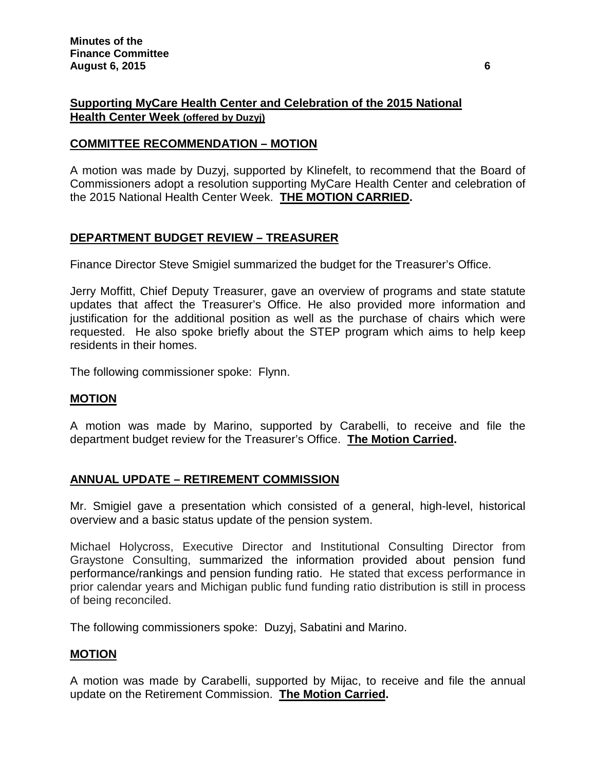# **Supporting MyCare Health Center and Celebration of the 2015 National Health Center Week (offered by Duzyj)**

# **COMMITTEE RECOMMENDATION – MOTION**

A motion was made by Duzyj, supported by Klinefelt, to recommend that the Board of Commissioners adopt a resolution supporting MyCare Health Center and celebration of the 2015 National Health Center Week. **THE MOTION CARRIED.**

# **DEPARTMENT BUDGET REVIEW – TREASURER**

Finance Director Steve Smigiel summarized the budget for the Treasurer's Office.

Jerry Moffitt, Chief Deputy Treasurer, gave an overview of programs and state statute updates that affect the Treasurer's Office. He also provided more information and justification for the additional position as well as the purchase of chairs which were requested. He also spoke briefly about the STEP program which aims to help keep residents in their homes.

The following commissioner spoke: Flynn.

#### **MOTION**

A motion was made by Marino, supported by Carabelli, to receive and file the department budget review for the Treasurer's Office. **The Motion Carried.**

## **ANNUAL UPDATE – RETIREMENT COMMISSION**

Mr. Smigiel gave a presentation which consisted of a general, high-level, historical overview and a basic status update of the pension system.

Michael Holycross, Executive Director and Institutional Consulting Director from Graystone Consulting, summarized the information provided about pension fund performance/rankings and pension funding ratio. He stated that excess performance in prior calendar years and Michigan public fund funding ratio distribution is still in process of being reconciled.

The following commissioners spoke: Duzyj, Sabatini and Marino.

## **MOTION**

A motion was made by Carabelli, supported by Mijac, to receive and file the annual update on the Retirement Commission. **The Motion Carried.**